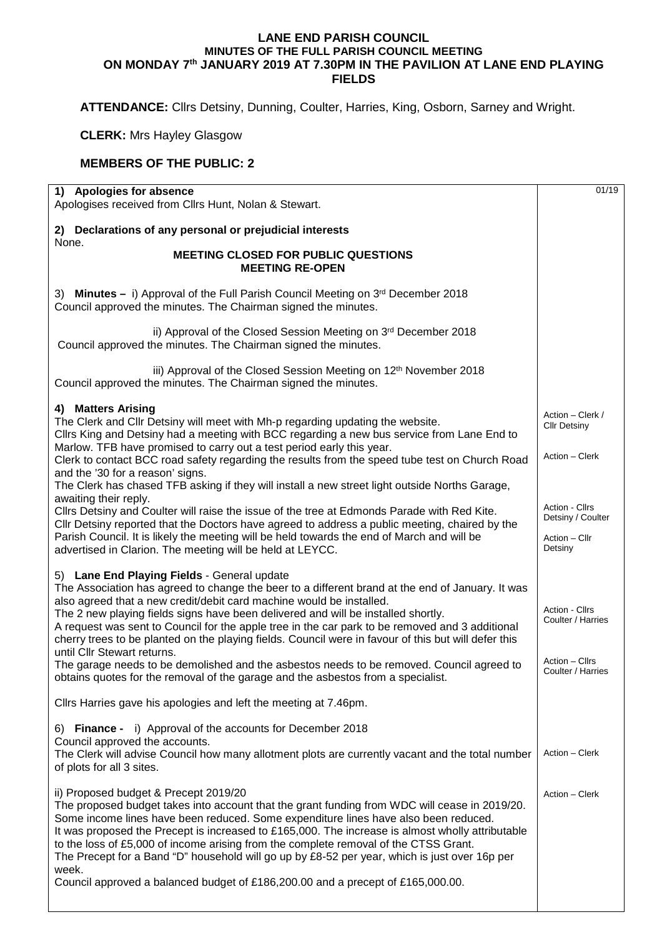## **LANE END PARISH COUNCIL MINUTES OF THE FULL PARISH COUNCIL MEETING ON MONDAY 7th JANUARY 2019 AT 7.30PM IN THE PAVILION AT LANE END PLAYING FIELDS**

**ATTENDANCE:** Cllrs Detsiny, Dunning, Coulter, Harries, King, Osborn, Sarney and Wright.

**CLERK:** Mrs Hayley Glasgow

## **MEMBERS OF THE PUBLIC: 2**

| 1) Apologies for absence<br>Apologises received from Cllrs Hunt, Nolan & Stewart.                                                                                                                                                                                                                                                                                                                                                                                                                                                                                                                                                                                                                                                       |                                                                            |  |  |
|-----------------------------------------------------------------------------------------------------------------------------------------------------------------------------------------------------------------------------------------------------------------------------------------------------------------------------------------------------------------------------------------------------------------------------------------------------------------------------------------------------------------------------------------------------------------------------------------------------------------------------------------------------------------------------------------------------------------------------------------|----------------------------------------------------------------------------|--|--|
| 2) Declarations of any personal or prejudicial interests                                                                                                                                                                                                                                                                                                                                                                                                                                                                                                                                                                                                                                                                                |                                                                            |  |  |
| None.<br><b>MEETING CLOSED FOR PUBLIC QUESTIONS</b><br><b>MEETING RE-OPEN</b>                                                                                                                                                                                                                                                                                                                                                                                                                                                                                                                                                                                                                                                           |                                                                            |  |  |
| 3) Minutes – i) Approval of the Full Parish Council Meeting on 3rd December 2018<br>Council approved the minutes. The Chairman signed the minutes.                                                                                                                                                                                                                                                                                                                                                                                                                                                                                                                                                                                      |                                                                            |  |  |
| ii) Approval of the Closed Session Meeting on 3rd December 2018<br>Council approved the minutes. The Chairman signed the minutes.                                                                                                                                                                                                                                                                                                                                                                                                                                                                                                                                                                                                       |                                                                            |  |  |
| iii) Approval of the Closed Session Meeting on 12 <sup>th</sup> November 2018<br>Council approved the minutes. The Chairman signed the minutes.                                                                                                                                                                                                                                                                                                                                                                                                                                                                                                                                                                                         |                                                                            |  |  |
| 4) Matters Arising<br>The Clerk and Cllr Detsiny will meet with Mh-p regarding updating the website.<br>Cllrs King and Detsiny had a meeting with BCC regarding a new bus service from Lane End to<br>Marlow. TFB have promised to carry out a test period early this year.                                                                                                                                                                                                                                                                                                                                                                                                                                                             | Action - Clerk /<br><b>Cllr Detsiny</b><br>Action - Clerk                  |  |  |
| Clerk to contact BCC road safety regarding the results from the speed tube test on Church Road<br>and the '30 for a reason' signs.<br>The Clerk has chased TFB asking if they will install a new street light outside Norths Garage,                                                                                                                                                                                                                                                                                                                                                                                                                                                                                                    |                                                                            |  |  |
| awaiting their reply.<br>Cllrs Detsiny and Coulter will raise the issue of the tree at Edmonds Parade with Red Kite.<br>Cllr Detsiny reported that the Doctors have agreed to address a public meeting, chaired by the                                                                                                                                                                                                                                                                                                                                                                                                                                                                                                                  |                                                                            |  |  |
| Parish Council. It is likely the meeting will be held towards the end of March and will be<br>advertised in Clarion. The meeting will be held at LEYCC.                                                                                                                                                                                                                                                                                                                                                                                                                                                                                                                                                                                 | Action - Cllr<br>Detsiny                                                   |  |  |
| 5) Lane End Playing Fields - General update<br>The Association has agreed to change the beer to a different brand at the end of January. It was<br>also agreed that a new credit/debit card machine would be installed.<br>The 2 new playing fields signs have been delivered and will be installed shortly.<br>A request was sent to Council for the apple tree in the car park to be removed and 3 additional<br>cherry trees to be planted on the playing fields. Council were in favour of this but will defer this<br>until Cllr Stewart returns.<br>The garage needs to be demolished and the asbestos needs to be removed. Council agreed to<br>obtains quotes for the removal of the garage and the asbestos from a specialist. | Action - Cllrs<br>Coulter / Harries<br>Action - Cllrs<br>Coulter / Harries |  |  |
| Clirs Harries gave his apologies and left the meeting at 7.46pm.                                                                                                                                                                                                                                                                                                                                                                                                                                                                                                                                                                                                                                                                        |                                                                            |  |  |
| 6) Finance - i) Approval of the accounts for December 2018<br>Council approved the accounts.<br>The Clerk will advise Council how many allotment plots are currently vacant and the total number<br>of plots for all 3 sites.                                                                                                                                                                                                                                                                                                                                                                                                                                                                                                           | Action - Clerk                                                             |  |  |
| ii) Proposed budget & Precept 2019/20<br>The proposed budget takes into account that the grant funding from WDC will cease in 2019/20.<br>Some income lines have been reduced. Some expenditure lines have also been reduced.<br>It was proposed the Precept is increased to £165,000. The increase is almost wholly attributable<br>to the loss of £5,000 of income arising from the complete removal of the CTSS Grant.<br>The Precept for a Band "D" household will go up by £8-52 per year, which is just over 16p per<br>week.                                                                                                                                                                                                     | Action - Clerk                                                             |  |  |
| Council approved a balanced budget of £186,200.00 and a precept of £165,000.00.                                                                                                                                                                                                                                                                                                                                                                                                                                                                                                                                                                                                                                                         |                                                                            |  |  |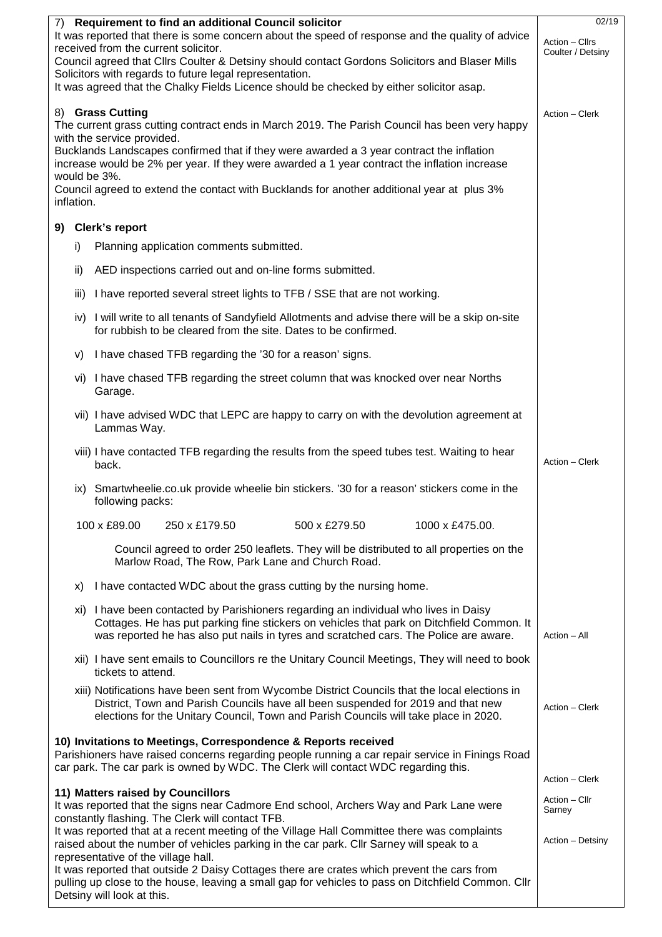|                                                                                                                                                                                                  |            | 7) Requirement to find an additional Council solicitor                                                                                                                   | 02/19                           |  |  |  |
|--------------------------------------------------------------------------------------------------------------------------------------------------------------------------------------------------|------------|--------------------------------------------------------------------------------------------------------------------------------------------------------------------------|---------------------------------|--|--|--|
| It was reported that there is some concern about the speed of response and the quality of advice<br>Action - Cllrs<br>Coulter / Detsiny                                                          |            |                                                                                                                                                                          |                                 |  |  |  |
| received from the current solicitor.<br>Council agreed that Cllrs Coulter & Detsiny should contact Gordons Solicitors and Blaser Mills                                                           |            |                                                                                                                                                                          |                                 |  |  |  |
|                                                                                                                                                                                                  |            | Solicitors with regards to future legal representation.                                                                                                                  |                                 |  |  |  |
|                                                                                                                                                                                                  |            | It was agreed that the Chalky Fields Licence should be checked by either solicitor asap.                                                                                 |                                 |  |  |  |
| 8) Grass Cutting<br>Action - Clerk                                                                                                                                                               |            |                                                                                                                                                                          |                                 |  |  |  |
|                                                                                                                                                                                                  |            | The current grass cutting contract ends in March 2019. The Parish Council has been very happy                                                                            |                                 |  |  |  |
|                                                                                                                                                                                                  |            | with the service provided.<br>Bucklands Landscapes confirmed that if they were awarded a 3 year contract the inflation                                                   |                                 |  |  |  |
|                                                                                                                                                                                                  |            | increase would be 2% per year. If they were awarded a 1 year contract the inflation increase                                                                             |                                 |  |  |  |
|                                                                                                                                                                                                  |            | would be 3%.<br>Council agreed to extend the contact with Bucklands for another additional year at plus 3%                                                               |                                 |  |  |  |
|                                                                                                                                                                                                  | inflation. |                                                                                                                                                                          |                                 |  |  |  |
|                                                                                                                                                                                                  |            | 9) Clerk's report                                                                                                                                                        |                                 |  |  |  |
|                                                                                                                                                                                                  | i)         | Planning application comments submitted.                                                                                                                                 |                                 |  |  |  |
|                                                                                                                                                                                                  |            |                                                                                                                                                                          |                                 |  |  |  |
|                                                                                                                                                                                                  | ii)        | AED inspections carried out and on-line forms submitted.                                                                                                                 |                                 |  |  |  |
|                                                                                                                                                                                                  | iii)       | I have reported several street lights to TFB / SSE that are not working.                                                                                                 |                                 |  |  |  |
|                                                                                                                                                                                                  |            | iv) I will write to all tenants of Sandyfield Allotments and advise there will be a skip on-site<br>for rubbish to be cleared from the site. Dates to be confirmed.      |                                 |  |  |  |
|                                                                                                                                                                                                  | V)         | I have chased TFB regarding the '30 for a reason' signs.                                                                                                                 |                                 |  |  |  |
|                                                                                                                                                                                                  |            | vi) I have chased TFB regarding the street column that was knocked over near Norths<br>Garage.                                                                           |                                 |  |  |  |
|                                                                                                                                                                                                  |            | vii) I have advised WDC that LEPC are happy to carry on with the devolution agreement at<br>Lammas Way.                                                                  |                                 |  |  |  |
|                                                                                                                                                                                                  |            | viii) I have contacted TFB regarding the results from the speed tubes test. Waiting to hear                                                                              |                                 |  |  |  |
|                                                                                                                                                                                                  |            | back.                                                                                                                                                                    | Action - Clerk                  |  |  |  |
|                                                                                                                                                                                                  | IX)        | Smartwheelie.co.uk provide wheelie bin stickers. '30 for a reason' stickers come in the<br>following packs:                                                              |                                 |  |  |  |
|                                                                                                                                                                                                  |            | 100 x £89.00<br>250 x £179.50<br>500 x £279.50<br>1000 x £475.00.                                                                                                        |                                 |  |  |  |
| Council agreed to order 250 leaflets. They will be distributed to all properties on the<br>Marlow Road, The Row, Park Lane and Church Road.                                                      |            |                                                                                                                                                                          |                                 |  |  |  |
|                                                                                                                                                                                                  | X)         | I have contacted WDC about the grass cutting by the nursing home.                                                                                                        |                                 |  |  |  |
|                                                                                                                                                                                                  |            | xi) I have been contacted by Parishioners regarding an individual who lives in Daisy                                                                                     |                                 |  |  |  |
|                                                                                                                                                                                                  |            | Cottages. He has put parking fine stickers on vehicles that park on Ditchfield Common. It                                                                                |                                 |  |  |  |
|                                                                                                                                                                                                  |            | was reported he has also put nails in tyres and scratched cars. The Police are aware.                                                                                    | Action - All                    |  |  |  |
|                                                                                                                                                                                                  |            |                                                                                                                                                                          |                                 |  |  |  |
|                                                                                                                                                                                                  |            | xiii) Notifications have been sent from Wycombe District Councils that the local elections in                                                                            |                                 |  |  |  |
|                                                                                                                                                                                                  |            | District, Town and Parish Councils have all been suspended for 2019 and that new<br>elections for the Unitary Council, Town and Parish Councils will take place in 2020. | Action - Clerk                  |  |  |  |
|                                                                                                                                                                                                  |            |                                                                                                                                                                          |                                 |  |  |  |
|                                                                                                                                                                                                  |            | 10) Invitations to Meetings, Correspondence & Reports received<br>Parishioners have raised concerns regarding people running a car repair service in Finings Road        |                                 |  |  |  |
| car park. The car park is owned by WDC. The Clerk will contact WDC regarding this.                                                                                                               |            |                                                                                                                                                                          |                                 |  |  |  |
|                                                                                                                                                                                                  |            | 11) Matters raised by Councillors                                                                                                                                        | Action - Clerk<br>Action - Cllr |  |  |  |
| It was reported that the signs near Cadmore End school, Archers Way and Park Lane were                                                                                                           |            |                                                                                                                                                                          |                                 |  |  |  |
| Sarney<br>constantly flashing. The Clerk will contact TFB.<br>It was reported that at a recent meeting of the Village Hall Committee there was complaints                                        |            |                                                                                                                                                                          |                                 |  |  |  |
| raised about the number of vehicles parking in the car park. Cllr Sarney will speak to a                                                                                                         |            |                                                                                                                                                                          |                                 |  |  |  |
|                                                                                                                                                                                                  |            | representative of the village hall.                                                                                                                                      |                                 |  |  |  |
| It was reported that outside 2 Daisy Cottages there are crates which prevent the cars from<br>pulling up close to the house, leaving a small gap for vehicles to pass on Ditchfield Common. Cllr |            |                                                                                                                                                                          |                                 |  |  |  |
| Detsiny will look at this.                                                                                                                                                                       |            |                                                                                                                                                                          |                                 |  |  |  |